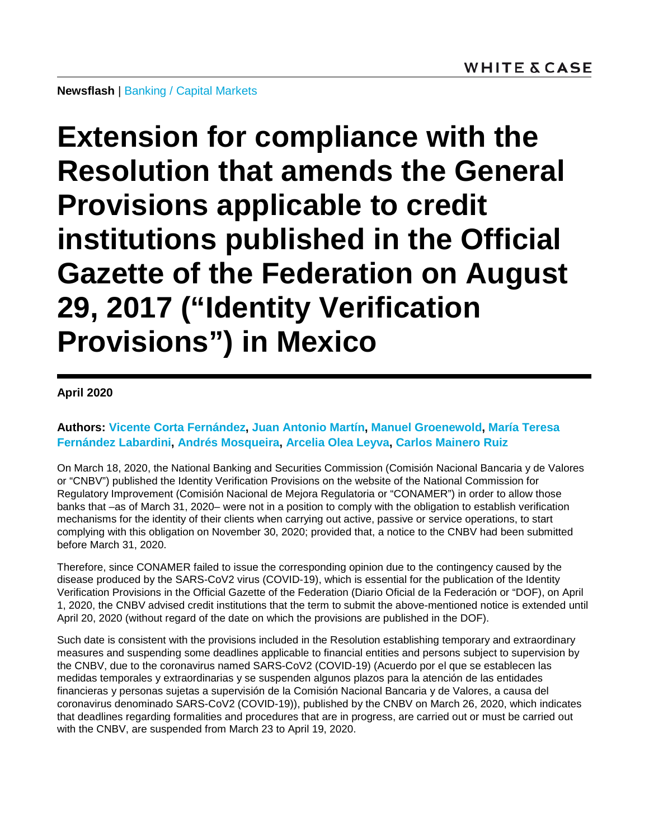**Extension for compliance with the Resolution that amends the General Provisions applicable to credit institutions published in the Official Gazette of the Federation on August 29, 2017 ("Identity Verification Provisions") in Mexico**

**April 2020**

**Authors: [Vicente Corta Fernández,](https://www.whitecase.com/people/vicente-corta-fernandez) [Juan Antonio Martín,](https://www.whitecase.com/people/juan-antonio-martin) [Manuel Groenewold,](https://www.whitecase.com/people/manuel-groenewold) [María Teresa](https://www.whitecase.com/people/maria-teresa-fernandez-labardini)  [Fernández Labardini,](https://www.whitecase.com/people/maria-teresa-fernandez-labardini) [Andrés Mosqueira,](https://www.whitecase.com/people/andres-mosqueira) [Arcelia Olea Leyva,](https://www.whitecase.com/people/arcelia-olea-leyva) [Carlos Mainero Ruiz](https://www.whitecase.com/people/carlos-mainero-ruiz)**

On March 18, 2020, the National Banking and Securities Commission (Comisión Nacional Bancaria y de Valores or "CNBV") published the Identity Verification Provisions on the website of the National Commission for Regulatory Improvement (Comisión Nacional de Mejora Regulatoria or "CONAMER") in order to allow those banks that –as of March 31, 2020– were not in a position to comply with the obligation to establish verification mechanisms for the identity of their clients when carrying out active, passive or service operations, to start complying with this obligation on November 30, 2020; provided that, a notice to the CNBV had been submitted before March 31, 2020.

Therefore, since CONAMER failed to issue the corresponding opinion due to the contingency caused by the disease produced by the SARS-CoV2 virus (COVID-19), which is essential for the publication of the Identity Verification Provisions in the Official Gazette of the Federation (Diario Oficial de la Federación or "DOF), on April 1, 2020, the CNBV advised credit institutions that the term to submit the above-mentioned notice is extended until April 20, 2020 (without regard of the date on which the provisions are published in the DOF).

Such date is consistent with the provisions included in the Resolution establishing temporary and extraordinary measures and suspending some deadlines applicable to financial entities and persons subject to supervision by the CNBV, due to the coronavirus named SARS-CoV2 (COVID-19) (Acuerdo por el que se establecen las medidas temporales y extraordinarias y se suspenden algunos plazos para la atención de las entidades financieras y personas sujetas a supervisión de la Comisión Nacional Bancaria y de Valores, a causa del coronavirus denominado SARS-CoV2 (COVID-19)), published by the CNBV on March 26, 2020, which indicates that deadlines regarding formalities and procedures that are in progress, are carried out or must be carried out with the CNBV, are suspended from March 23 to April 19, 2020.